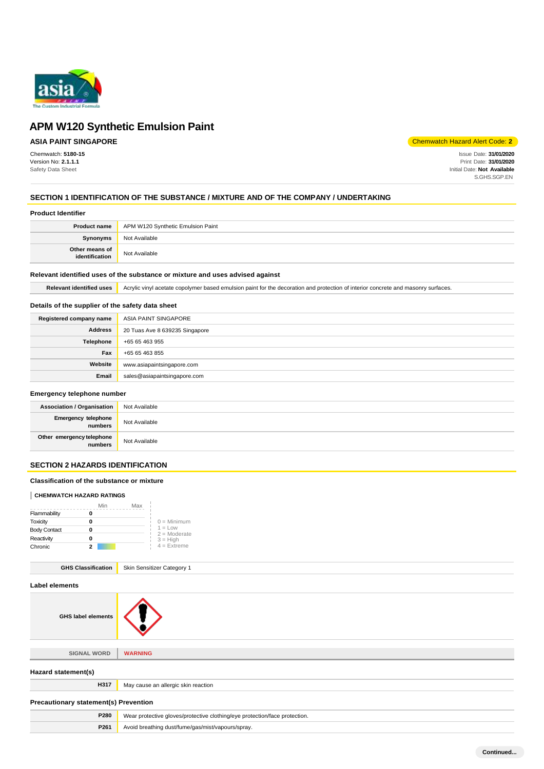

# **ASIA PAINT SINGAPORE**

Chemwatch: **5180-15** Version No: **2.1.1.1** Safety Data Sheet

Chemwatch Hazard Alert Code: **2**

Issue Date: **31/01/2020** Print Date: **31/01/2020** Initial Date: **Not Available** S.GHS.SGP.EN

# **SECTION 1 IDENTIFICATION OF THE SUBSTANCE / MIXTURE AND OF THE COMPANY / UNDERTAKING**

#### **Product Identifier**

|                                  | <b>Product name</b> APM W120 Synthetic Emulsion Paint |
|----------------------------------|-------------------------------------------------------|
| Synonyms                         | Not Available                                         |
| Other means of<br>identification | Not Available                                         |

### **Relevant identified uses of the substance or mixture and uses advised against**

Relevant identified uses **Acrylic vinyl acetate copolymer based emulsion paint for the decoration and protection of interior concrete and masonry surfaces.** 

### **Details of the supplier of the safety data sheet**

| Registered company name | ASIA PAINT SINGAPORE           |
|-------------------------|--------------------------------|
| <b>Address</b>          | 20 Tuas Ave 8 639235 Singapore |
| Telephone               | +65 65 463 955                 |
| Fax                     | +65 65 463 855                 |
| Website                 | www.asiapaintsingapore.com     |
| Email                   | sales@asiapaintsingapore.com   |

# **Emergency telephone number**

| <b>Association / Organisation</b>    | Not Available |
|--------------------------------------|---------------|
| Emergency telephone<br>numbers       | Not Available |
| Other emergency telephone<br>numbers | Not Available |

# **SECTION 2 HAZARDS IDENTIFICATION**

#### **Classification of the substance or mixture**

### **CHEMWATCH HAZARD RATINGS**

|                     | Min | Max |                             |
|---------------------|-----|-----|-----------------------------|
| Flammability        |     |     |                             |
| Toxicity            |     |     | $0 =$ Minimum               |
| <b>Body Contact</b> |     |     | $1 = Low$<br>$2 =$ Moderate |
| Reactivity          |     |     | $3 = High$                  |
| Chronic             | 2   |     | $4$ = Extreme               |

| <b>GHS Classification</b> | Skin Sensitizer Category 1 |
|---------------------------|----------------------------|
|---------------------------|----------------------------|

| Label elements                               |                                                                            |
|----------------------------------------------|----------------------------------------------------------------------------|
| <b>GHS label elements</b>                    |                                                                            |
|                                              |                                                                            |
| <b>SIGNAL WORD</b>                           | <b>WARNING</b>                                                             |
| Hazard statement(s)                          |                                                                            |
| H317                                         | May cause an allergic skin reaction                                        |
| <b>Precautionary statement(s) Prevention</b> |                                                                            |
| P280                                         | Wear protective gloves/protective clothing/eye protection/face protection. |
| P261                                         | Avoid breathing dust/fume/gas/mist/vapours/spray.                          |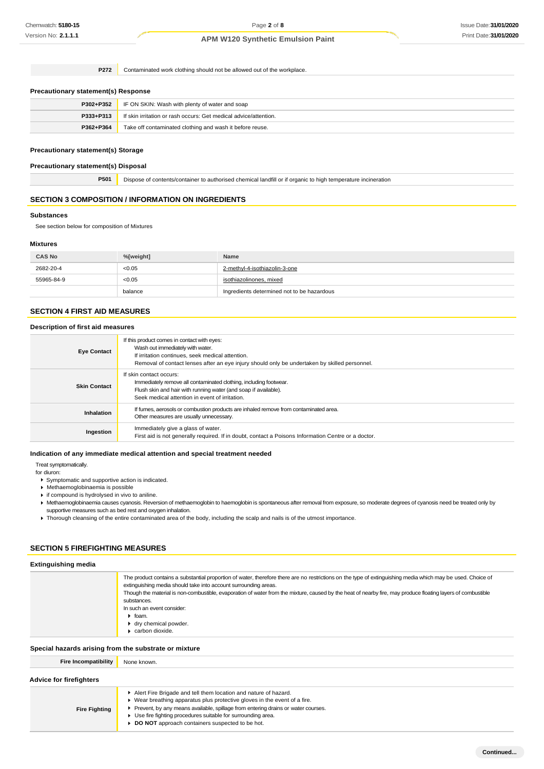**P272** Contaminated work clothing should not be allowed out of the workplace.

#### **Precautionary statement(s) Response**

| P302+P352 | IF ON SKIN: Wash with plenty of water and soap                   |
|-----------|------------------------------------------------------------------|
| P333+P313 | If skin irritation or rash occurs: Get medical advice/attention. |
| P362+P364 | Take off contaminated clothing and wash it before reuse.         |

### **Precautionary statement(s) Storage**

#### **Precautionary statement(s) Disposal**

**P501** Dispose of contents/container to authorised chemical landfill or if organic to high temperature incineration

### **SECTION 3 COMPOSITION / INFORMATION ON INGREDIENTS**

### **Substances**

See section below for composition of Mixtures

### **Mixtures**

| <b>CAS No</b> | %[weight] | <b>Name</b>                                |
|---------------|-----------|--------------------------------------------|
| 2682-20-4     | < 0.05    | 2-methyl-4-isothiazolin-3-one              |
| 55965-84-9    | < 0.05    | isothiazolinones, mixed                    |
|               | balance   | Ingredients determined not to be hazardous |

# **SECTION 4 FIRST AID MEASURES**

#### **Description of first aid measures**

| <b>Eye Contact</b>  | If this product comes in contact with eyes:<br>Wash out immediately with water.<br>If irritation continues, seek medical attention.<br>Removal of contact lenses after an eye injury should only be undertaken by skilled personnel. |
|---------------------|--------------------------------------------------------------------------------------------------------------------------------------------------------------------------------------------------------------------------------------|
| <b>Skin Contact</b> | If skin contact occurs:<br>Immediately remove all contaminated clothing, including footwear.<br>Flush skin and hair with running water (and soap if available).<br>Seek medical attention in event of irritation.                    |
| Inhalation          | If fumes, aerosols or combustion products are inhaled remove from contaminated area.<br>Other measures are usually unnecessary.                                                                                                      |
| Ingestion           | Immediately give a glass of water.<br>First aid is not generally required. If in doubt, contact a Poisons Information Centre or a doctor.                                                                                            |

### **Indication of any immediate medical attention and special treatment needed**

Treat symptomatically.

for diuron:

- Symptomatic and supportive action is indicated.
- Methaemoglobinaemia is possible
- if compound is hydrolysed in vivo to aniline.
- Methaemoglobinaemia causes cyanosis. Reversion of methaemoglobin to haemoglobin is spontaneous after removal from exposure, so moderate degrees of cyanosis need be treated only by
- supportive measures such as bed rest and oxygen inhalation.
- Thorough cleansing of the entire contaminated area of the body, including the scalp and nails is of the utmost importance.

# **SECTION 5 FIREFIGHTING MEASURES**

| <b>Extinguishing media</b>  |                                                                                                                                                                                                                                                                                                                                                                                                                                                                                                                                   |  |
|-----------------------------|-----------------------------------------------------------------------------------------------------------------------------------------------------------------------------------------------------------------------------------------------------------------------------------------------------------------------------------------------------------------------------------------------------------------------------------------------------------------------------------------------------------------------------------|--|
|                             | The product contains a substantial proportion of water, therefore there are no restrictions on the type of extinguishing media which may be used. Choice of<br>extinguishing media should take into account surrounding areas.<br>Though the material is non-combustible, evaporation of water from the mixture, caused by the heat of nearby fire, may produce floating layers of combustible<br>substances.<br>In such an event consider:<br>$\blacktriangleright$ foam.<br>▶ dry chemical powder.<br>$\bullet$ carbon dioxide. |  |
|                             | Special hazards arising from the substrate or mixture                                                                                                                                                                                                                                                                                                                                                                                                                                                                             |  |
| <b>Fire Incompatibility</b> | None known.                                                                                                                                                                                                                                                                                                                                                                                                                                                                                                                       |  |

| <b>Advice for firefighters</b> |  |  |  |
|--------------------------------|--|--|--|
|--------------------------------|--|--|--|

**Fire Fighting** Alert Fire Brigade and tell them location and nature of hazard. Wear breathing apparatus plus protective gloves in the event of a fire. Prevent, by any means available, spillage from entering drains or water courses. Use fire fighting procedures suitable for surrounding area. **DO NOT** approach containers suspected to be hot.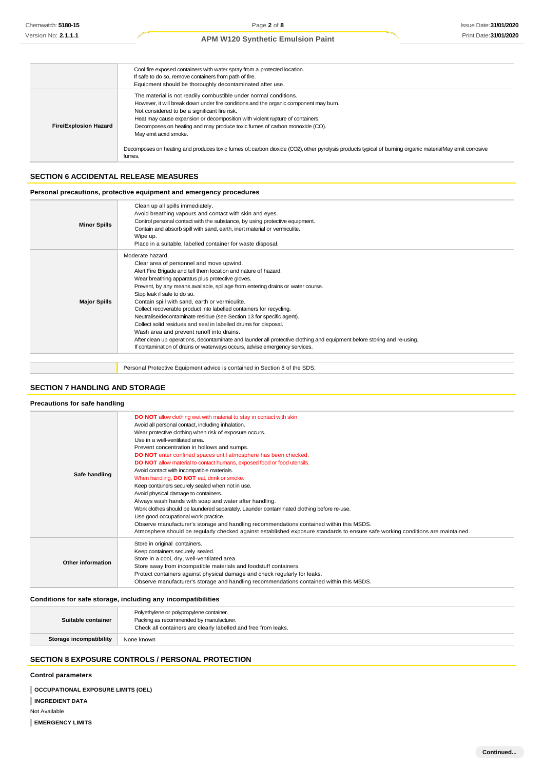|                              | Cool fire exposed containers with water spray from a protected location.<br>If safe to do so, remove containers from path of fire.<br>Equipment should be thoroughly decontaminated after use.                                                                                                                                                                                                                                                                                                                                                                         |
|------------------------------|------------------------------------------------------------------------------------------------------------------------------------------------------------------------------------------------------------------------------------------------------------------------------------------------------------------------------------------------------------------------------------------------------------------------------------------------------------------------------------------------------------------------------------------------------------------------|
| <b>Fire/Explosion Hazard</b> | The material is not readily combustible under normal conditions.<br>However, it will break down under fire conditions and the organic component may burn.<br>Not considered to be a significant fire risk.<br>Heat may cause expansion or decomposition with violent rupture of containers.<br>Decomposes on heating and may produce toxic fumes of carbon monoxide (CO).<br>May emit acrid smoke.<br>Decomposes on heating and produces toxic fumes of carbon dioxide (CO2), other pyrolysis products typical of burning organic materialMay emit corrosive<br>fumes. |

### **SECTION 6 ACCIDENTAL RELEASE MEASURES**

### **Personal precautions, protective equipment and emergency procedures**

| <b>Minor Spills</b> | Clean up all spills immediately.<br>Avoid breathing vapours and contact with skin and eyes.<br>Control personal contact with the substance, by using protective equipment.<br>Contain and absorb spill with sand, earth, inert material or vermiculite.<br>Wipe up.<br>Place in a suitable, labelled container for waste disposal.                                                                                                                                                                                                                                                                                                                                                                                                                                                                                               |
|---------------------|----------------------------------------------------------------------------------------------------------------------------------------------------------------------------------------------------------------------------------------------------------------------------------------------------------------------------------------------------------------------------------------------------------------------------------------------------------------------------------------------------------------------------------------------------------------------------------------------------------------------------------------------------------------------------------------------------------------------------------------------------------------------------------------------------------------------------------|
| <b>Major Spills</b> | Moderate hazard.<br>Clear area of personnel and move upwind.<br>Alert Fire Brigade and tell them location and nature of hazard.<br>Wear breathing apparatus plus protective gloves.<br>Prevent, by any means available, spillage from entering drains or water course.<br>Stop leak if safe to do so.<br>Contain spill with sand, earth or vermiculite.<br>Collect recoverable product into labelled containers for recycling.<br>Neutralise/decontaminate residue (see Section 13 for specific agent).<br>Collect solid residues and seal in labelled drums for disposal.<br>Wash area and prevent runoff into drains.<br>After clean up operations, decontaminate and launder all protective clothing and equipment before storing and re-using.<br>If contamination of drains or waterways occurs, advise emergency services. |
|                     | Personal Protective Equipment advice is contained in Section 8 of the SDS.                                                                                                                                                                                                                                                                                                                                                                                                                                                                                                                                                                                                                                                                                                                                                       |

### **SECTION 7 HANDLING AND STORAGE**

#### **Precautions for safe handling**

| Safe handling     | <b>DO NOT</b> allow clothing wet with material to stay in contact with skin<br>Avoid all personal contact, including inhalation.<br>Wear protective clothing when risk of exposure occurs.<br>Use in a well-ventilated area.<br>Prevent concentration in hollows and sumps.<br>DO NOT enter confined spaces until atmosphere has been checked.<br><b>DO NOT</b> allow material to contact humans, exposed food or food utensils.<br>Avoid contact with incompatible materials.<br>When handling, <b>DO NOT</b> eat, drink or smoke.<br>Keep containers securely sealed when not in use.<br>Avoid physical damage to containers.<br>Always wash hands with soap and water after handling.<br>Work clothes should be laundered separately. Launder contaminated clothing before re-use.<br>Use good occupational work practice.<br>Observe manufacturer's storage and handling recommendations contained within this MSDS.<br>Atmosphere should be regularly checked against established exposure standards to ensure safe working conditions are maintained. |
|-------------------|-------------------------------------------------------------------------------------------------------------------------------------------------------------------------------------------------------------------------------------------------------------------------------------------------------------------------------------------------------------------------------------------------------------------------------------------------------------------------------------------------------------------------------------------------------------------------------------------------------------------------------------------------------------------------------------------------------------------------------------------------------------------------------------------------------------------------------------------------------------------------------------------------------------------------------------------------------------------------------------------------------------------------------------------------------------|
| Other information | Store in original containers.<br>Keep containers securely sealed.<br>Store in a cool, dry, well-ventilated area.<br>Store away from incompatible materials and foodstuff containers.<br>Protect containers against physical damage and check regularly for leaks.<br>Observe manufacturer's storage and handling recommendations contained within this MSDS.                                                                                                                                                                                                                                                                                                                                                                                                                                                                                                                                                                                                                                                                                                |

### **Conditions for safe storage, including any incompatibilities**

| Suitable container      | Polyethylene or polypropylene container.<br>Packing as recommended by manufacturer.<br>Check all containers are clearly labelled and free from leaks. |
|-------------------------|-------------------------------------------------------------------------------------------------------------------------------------------------------|
| Storage incompatibility | None known                                                                                                                                            |

# **SECTION 8 EXPOSURE CONTROLS / PERSONAL PROTECTION**

# **Control parameters**

**OCCUPATIONAL EXPOSURE LIMITS (OEL)** 

**INGREDIENT DATA**

Not Available

**EMERGENCY LIMITS**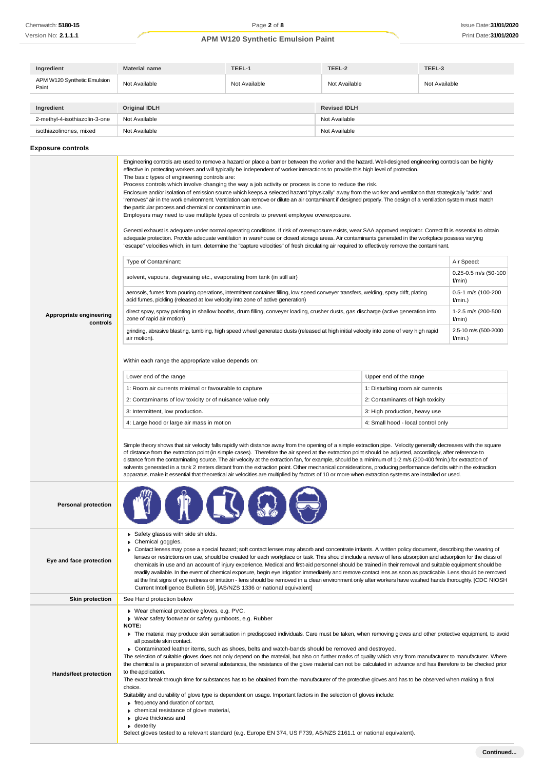| Ingredient                           | <b>Material name</b> | TEEL-1        | TEEL-2              | TEEL-3        |
|--------------------------------------|----------------------|---------------|---------------------|---------------|
| APM W120 Synthetic Emulsion<br>Paint | Not Available        | Not Available | Not Available       | Not Available |
|                                      |                      |               |                     |               |
| Ingredient                           | <b>Original IDLH</b> |               | <b>Revised IDLH</b> |               |
| 2-methyl-4-isothiazolin-3-one        | Not Available        |               | Not Available       |               |
| isothiazolinones, mixed              | Not Available        |               | Not Available       |               |

### **Exposure controls**

| Appropriate engineering<br>controls | Engineering controls are used to remove a hazard or place a barrier between the worker and the hazard. Well-designed engineering controls can be highly<br>effective in protecting workers and will typically be independent of worker interactions to provide this high level of protection.<br>The basic types of engineering controls are:<br>Process controls which involve changing the way a job activity or process is done to reduce the risk.<br>Enclosure and/or isolation of emission source which keeps a selected hazard "physically" away from the worker and ventilation that strategically "adds" and<br>"removes" air in the work environment. Ventilation can remove or dilute an air contaminant if designed properly. The design of a ventilation system must match<br>the particular process and chemical or contaminant in use.<br>Employers may need to use multiple types of controls to prevent employee overexposure.<br>General exhaust is adequate under normal operating conditions. If risk of overexposure exists, wear SAA approved respirator. Correct fit is essential to obtain<br>adequate protection. Provide adequate ventilation in warehouse or closed storage areas. Air contaminants generated in the workplace possess varying<br>"escape" velocities which, in tum, determine the "capture velocities" of fresh circulating air required to effectively remove the contaminant.<br>Type of Contaminant:<br>solvent, vapours, degreasing etc., evaporating from tank (in still air)<br>aerosols, fumes from pouring operations, intermittent container filling, low speed conveyer transfers, welding, spray drift, plating<br>acid fumes, pickling (released at low velocity into zone of active generation)<br>direct spray, spray painting in shallow booths, drum filling, conveyer loading, crusher dusts, gas discharge (active generation into<br>zone of rapid air motion)<br>grinding, abrasive blasting, tumbling, high speed wheel generated dusts (released at high initial velocity into zone of very high rapid<br>air motion).<br>Within each range the appropriate value depends on:<br>Lower end of the range<br>1: Room air currents minimal or favourable to capture<br>2: Contaminants of low toxicity or of nuisance value only<br>3: Intermittent, low production.<br>4: Large hood or large air mass in motion<br>Simple theory shows that air velocity falls rapidly with distance away from the opening of a simple extraction pipe. Velocity generally decreases with the square<br>of distance from the extraction point (in simple cases). Therefore the air speed at the extraction point should be adjusted, accordingly, after reference to<br>distance from the contaminating source. The air velocity at the extraction fan, for example, should be a minimum of 1-2 m/s (200-400 f/min.) for extraction of | Upper end of the range<br>1: Disturbing room air currents<br>2: Contaminants of high toxicity<br>3: High production, heavy use<br>4: Small hood - local control only | Air Speed:<br>$0.25 - 0.5$ m/s (50-100<br>f/min)<br>0.5-1 m/s (100-200<br>f/min.)<br>1-2.5 m/s (200-500<br>f/min)<br>2.5-10 m/s (500-2000<br>f/min.) |
|-------------------------------------|-----------------------------------------------------------------------------------------------------------------------------------------------------------------------------------------------------------------------------------------------------------------------------------------------------------------------------------------------------------------------------------------------------------------------------------------------------------------------------------------------------------------------------------------------------------------------------------------------------------------------------------------------------------------------------------------------------------------------------------------------------------------------------------------------------------------------------------------------------------------------------------------------------------------------------------------------------------------------------------------------------------------------------------------------------------------------------------------------------------------------------------------------------------------------------------------------------------------------------------------------------------------------------------------------------------------------------------------------------------------------------------------------------------------------------------------------------------------------------------------------------------------------------------------------------------------------------------------------------------------------------------------------------------------------------------------------------------------------------------------------------------------------------------------------------------------------------------------------------------------------------------------------------------------------------------------------------------------------------------------------------------------------------------------------------------------------------------------------------------------------------------------------------------------------------------------------------------------------------------------------------------------------------------------------------------------------------------------------------------------------------------------------------------------------------------------------------------------------------------------------------------------------------------------------------------------------------------------------------------------------------------------------------------------------------------------------------------------------------------------------------------------------------------------------------------------------------------------------------------------------------------------|----------------------------------------------------------------------------------------------------------------------------------------------------------------------|------------------------------------------------------------------------------------------------------------------------------------------------------|
| <b>Personal protection</b>          | apparatus, make it essential that theoretical air velocities are multiplied by factors of 10 or more when extraction systems are installed or used.                                                                                                                                                                                                                                                                                                                                                                                                                                                                                                                                                                                                                                                                                                                                                                                                                                                                                                                                                                                                                                                                                                                                                                                                                                                                                                                                                                                                                                                                                                                                                                                                                                                                                                                                                                                                                                                                                                                                                                                                                                                                                                                                                                                                                                                                                                                                                                                                                                                                                                                                                                                                                                                                                                                                     |                                                                                                                                                                      |                                                                                                                                                      |
| Eye and face protection             | Safety glasses with side shields.<br>Chemical goggles.<br>▶ Contact lenses may pose a special hazard; soft contact lenses may absorb and concentrate irritants. A written policy document, describing the wearing of<br>lenses or restrictions on use, should be created for each workplace or task. This should include a review of lens absorption and adsorption for the class of<br>chemicals in use and an account of injury experience. Medical and first-aid personnel should be trained in their removal and suitable equipment should be<br>readily available. In the event of chemical exposure, begin eye irrigation immediately and remove contact lens as soon as practicable. Lens should be removed<br>at the first signs of eye redness or irritation - lens should be removed in a clean environment only after workers have washed hands thoroughly. [CDC NIOSH<br>Current Intelligence Bulletin 59], [AS/NZS 1336 or national equivalent]                                                                                                                                                                                                                                                                                                                                                                                                                                                                                                                                                                                                                                                                                                                                                                                                                                                                                                                                                                                                                                                                                                                                                                                                                                                                                                                                                                                                                                                                                                                                                                                                                                                                                                                                                                                                                                                                                                                            |                                                                                                                                                                      |                                                                                                                                                      |
| <b>Skin protection</b>              | See Hand protection below                                                                                                                                                                                                                                                                                                                                                                                                                                                                                                                                                                                                                                                                                                                                                                                                                                                                                                                                                                                                                                                                                                                                                                                                                                                                                                                                                                                                                                                                                                                                                                                                                                                                                                                                                                                                                                                                                                                                                                                                                                                                                                                                                                                                                                                                                                                                                                                                                                                                                                                                                                                                                                                                                                                                                                                                                                                               |                                                                                                                                                                      |                                                                                                                                                      |
| Hands/feet protection               | ▶ Wear chemical protective gloves, e.g. PVC.<br>▶ Wear safety footwear or safety gumboots, e.g. Rubber<br><b>NOTE:</b><br>The material may produce skin sensitisation in predisposed individuals. Care must be taken, when removing gloves and other protective equipment, to avoid<br>all possible skin contact.<br>► Contaminated leather items, such as shoes, belts and watch-bands should be removed and destroyed.<br>The selection of suitable gloves does not only depend on the material, but also on further marks of quality which vary from manufacturer to manufacturer. Where<br>the chemical is a preparation of several substances, the resistance of the glove material can not be calculated in advance and has therefore to be checked prior<br>to the application.<br>The exact break through time for substances has to be obtained from the manufacturer of the protective gloves and.has to be observed when making a final<br>choice.<br>Suitability and durability of glove type is dependent on usage. Important factors in the selection of gloves include:<br>$\blacktriangleright$ frequency and duration of contact,<br>chemical resistance of glove material,<br>glove thickness and<br>$\bullet$ dexterity<br>Select gloves tested to a relevant standard (e.g. Europe EN 374, US F739, AS/NZS 2161.1 or national equivalent).                                                                                                                                                                                                                                                                                                                                                                                                                                                                                                                                                                                                                                                                                                                                                                                                                                                                                                                                                                                                                                                                                                                                                                                                                                                                                                                                                                                                                                                                                                                          |                                                                                                                                                                      |                                                                                                                                                      |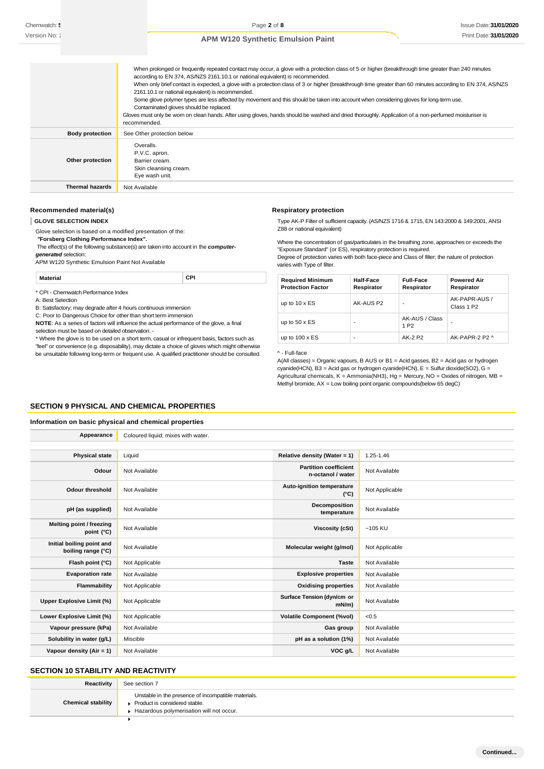|                        | When prolonged or frequently repeated contact may occur, a glove with a protection class of 5 or higher (breakthrough time greater than 240 minutes<br>according to EN 374, AS/NZS 2161.10.1 or national equivalent) is recommended.<br>When only brief contact is expected, a glove with a protection class of 3 or higher (breakthrough time greater than 60 minutes according to EN 374, AS/NZS<br>2161.10.1 or national equivalent) is recommended.<br>Some glove polymer types are less affected by movement and this should be taken into account when considering gloves for long-term use.<br>Contaminated gloves should be replaced.<br>Gloves must only be wom on clean hands. After using gloves, hands should be washed and dried thoroughly. Application of a non-perfumed moisturiser is<br>recommended. |
|------------------------|------------------------------------------------------------------------------------------------------------------------------------------------------------------------------------------------------------------------------------------------------------------------------------------------------------------------------------------------------------------------------------------------------------------------------------------------------------------------------------------------------------------------------------------------------------------------------------------------------------------------------------------------------------------------------------------------------------------------------------------------------------------------------------------------------------------------|
| <b>Body protection</b> | See Other protection below                                                                                                                                                                                                                                                                                                                                                                                                                                                                                                                                                                                                                                                                                                                                                                                             |
| Other protection       | Overalls.<br>P.V.C. apron.<br>Barrier cream.<br>Skin cleansing cream.<br>Eye wash unit.                                                                                                                                                                                                                                                                                                                                                                                                                                                                                                                                                                                                                                                                                                                                |
| <b>Thermal hazards</b> | Not Available                                                                                                                                                                                                                                                                                                                                                                                                                                                                                                                                                                                                                                                                                                                                                                                                          |

### **Recommended material(s)**

**GLOVE SELECTION INDEX**

Glove selection is based on a modified presentation of the: *"***Forsberg Clothing Performance Index".** The effect(s) of the following substance(s) are taken into account in the *computergenerated* selection: APM W120 Synthetic Emulsion Paint Not Available

**Material CPI**

\* CPI - Chemwatch Performance Index

A: Best Selection

B: Satisfactory; may degrade after 4 hours continuous immersion

C: Poor to Dangerous Choice for other than short term immersion

**NOTE**: As a series of factors will influence the actual performance of the glove, a final selection must be based on detailed observation. -

\* Where the glove is to be used on a short term, casual or infrequent basis, factors such as "feel" or convenience (e.g. disposability), may dictate a choice of gloves which might otherwise be unsuitable following long-term or frequent use. A qualified practitioner should be consulted.

#### **Respiratory protection**

Type AK-P Filter of sufficient capacity. (AS/NZS 1716 & 1715, EN 143:2000 & 149:2001, ANSI Z88 or national equivalent)

Where the concentration of gas/particulates in the breathing zone, approaches or exceeds the "Exposure Standard" (or ES), respiratory protection is required.

Degree of protection varies with both face-piece and Class of filter; the nature of protection varies with Type of filter.

| <b>Required Minimum</b><br><b>Protection Factor</b> | Half-Face<br>Respirator | <b>Full-Face</b><br>Respirator     | <b>Powered Air</b><br>Respirator        |
|-----------------------------------------------------|-------------------------|------------------------------------|-----------------------------------------|
| up to $10 \times ES$                                | AK-AUS P2               |                                    | AK-PAPR-AUS /<br>Class 1 P <sub>2</sub> |
| up to $50 \times ES$                                | ٠                       | AK-AUS / Class<br>1 P <sub>2</sub> | ٠                                       |
| up to $100 \times ES$                               | ٠                       | AK-2 P2                            | AK-PAPR-2 P2 ^                          |

^ - Full-face

A(All classes) = Organic vapours, B AUS or B1 = Acid gasses, B2 = Acid gas or hydrogen cyanide(HCN), B3 = Acid gas or hydrogen cyanide(HCN), E = Sulfur dioxide(SO2), G = Agricultural chemicals,  $K =$  Ammonia(NH3), Hg = Mercury, NO = Oxides of nitrogen, MB = Methyl bromide, AX = Low boiling point organic compounds(below 65 degC)

## **SECTION 9 PHYSICAL AND CHEMICAL PROPERTIES**

#### **Information on basic physical and chemical properties**

| Appearance                                      | Coloured liquid; mixes with water. |                                                   |                |
|-------------------------------------------------|------------------------------------|---------------------------------------------------|----------------|
|                                                 |                                    |                                                   |                |
| <b>Physical state</b>                           | Liquid                             | Relative density (Water = 1)                      | 1.25-1.46      |
| Odour                                           | Not Available                      | <b>Partition coefficient</b><br>n-octanol / water | Not Available  |
| <b>Odour threshold</b>                          | Not Available                      | Auto-ignition temperature<br>$(^{\circ}C)$        | Not Applicable |
| pH (as supplied)                                | Not Available                      | Decomposition<br>temperature                      | Not Available  |
| Melting point / freezing<br>point (°C)          | Not Available                      | <b>Viscosity (cSt)</b>                            | $~105$ KU      |
| Initial boiling point and<br>boiling range (°C) | Not Available                      | Molecular weight (g/mol)                          | Not Applicable |
| Flash point (°C)                                | Not Applicable                     | <b>Taste</b>                                      | Not Available  |
| <b>Evaporation rate</b>                         | Not Available                      | <b>Explosive properties</b>                       | Not Available  |
| Flammability                                    | Not Applicable                     | <b>Oxidising properties</b>                       | Not Available  |
| Upper Explosive Limit (%)                       | Not Applicable                     | Surface Tension (dyn/cm or<br>$mN/m$ )            | Not Available  |
| Lower Explosive Limit (%)                       | Not Applicable                     | <b>Volatile Component (%vol)</b>                  | < 0.5          |
| Vapour pressure (kPa)                           | Not Available                      | Gas group                                         | Not Available  |
| Solubility in water (g/L)                       | Miscible                           | pH as a solution (1%)                             | Not Available  |
| Vapour density (Air = $1$ )                     | Not Available                      | VOC g/L                                           | Not Available  |

# **SECTION 10 STABILITY AND REACTIVITY**

| Reactivity                | See section 7                                                                                                                    |
|---------------------------|----------------------------------------------------------------------------------------------------------------------------------|
| <b>Chemical stability</b> | Unstable in the presence of incompatible materials.<br>Product is considered stable.<br>Hazardous polymerisation will not occur. |
|                           |                                                                                                                                  |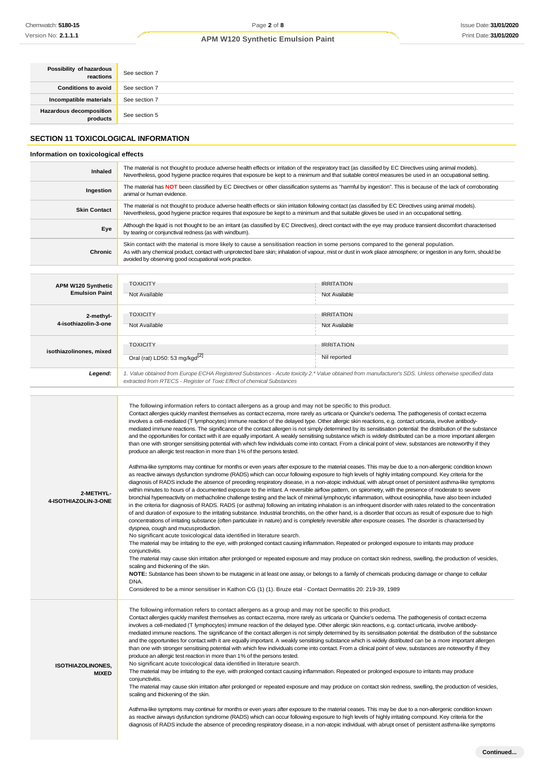| Possibility of hazardous<br>reactions              | See section 7                                                                                                                                                                                                                                                                                                                                                                                                                                                                                                                                                                                                                                                                                                                                                                                                                                                                                                                                                                                                                                                                                                                                                                                                                                                                                                                                                                                                                                                                                                                                                                                                                                                                                                                                                                                                                                                                                                                                                                                                                                                                                                                                                                                                                                                                                                                                                                                                                                                                                                                                                                                                                                                                                                                                                                                                                                                                                                                                                                                                                                                                        |                                    |  |
|----------------------------------------------------|--------------------------------------------------------------------------------------------------------------------------------------------------------------------------------------------------------------------------------------------------------------------------------------------------------------------------------------------------------------------------------------------------------------------------------------------------------------------------------------------------------------------------------------------------------------------------------------------------------------------------------------------------------------------------------------------------------------------------------------------------------------------------------------------------------------------------------------------------------------------------------------------------------------------------------------------------------------------------------------------------------------------------------------------------------------------------------------------------------------------------------------------------------------------------------------------------------------------------------------------------------------------------------------------------------------------------------------------------------------------------------------------------------------------------------------------------------------------------------------------------------------------------------------------------------------------------------------------------------------------------------------------------------------------------------------------------------------------------------------------------------------------------------------------------------------------------------------------------------------------------------------------------------------------------------------------------------------------------------------------------------------------------------------------------------------------------------------------------------------------------------------------------------------------------------------------------------------------------------------------------------------------------------------------------------------------------------------------------------------------------------------------------------------------------------------------------------------------------------------------------------------------------------------------------------------------------------------------------------------------------------------------------------------------------------------------------------------------------------------------------------------------------------------------------------------------------------------------------------------------------------------------------------------------------------------------------------------------------------------------------------------------------------------------------------------------------------------|------------------------------------|--|
| <b>Conditions to avoid</b>                         | See section 7                                                                                                                                                                                                                                                                                                                                                                                                                                                                                                                                                                                                                                                                                                                                                                                                                                                                                                                                                                                                                                                                                                                                                                                                                                                                                                                                                                                                                                                                                                                                                                                                                                                                                                                                                                                                                                                                                                                                                                                                                                                                                                                                                                                                                                                                                                                                                                                                                                                                                                                                                                                                                                                                                                                                                                                                                                                                                                                                                                                                                                                                        |                                    |  |
| Incompatible materials                             | See section 7                                                                                                                                                                                                                                                                                                                                                                                                                                                                                                                                                                                                                                                                                                                                                                                                                                                                                                                                                                                                                                                                                                                                                                                                                                                                                                                                                                                                                                                                                                                                                                                                                                                                                                                                                                                                                                                                                                                                                                                                                                                                                                                                                                                                                                                                                                                                                                                                                                                                                                                                                                                                                                                                                                                                                                                                                                                                                                                                                                                                                                                                        |                                    |  |
| <b>Hazardous decomposition</b><br>products         | See section 5                                                                                                                                                                                                                                                                                                                                                                                                                                                                                                                                                                                                                                                                                                                                                                                                                                                                                                                                                                                                                                                                                                                                                                                                                                                                                                                                                                                                                                                                                                                                                                                                                                                                                                                                                                                                                                                                                                                                                                                                                                                                                                                                                                                                                                                                                                                                                                                                                                                                                                                                                                                                                                                                                                                                                                                                                                                                                                                                                                                                                                                                        |                                    |  |
| <b>SECTION 11 TOXICOLOGICAL INFORMATION</b>        |                                                                                                                                                                                                                                                                                                                                                                                                                                                                                                                                                                                                                                                                                                                                                                                                                                                                                                                                                                                                                                                                                                                                                                                                                                                                                                                                                                                                                                                                                                                                                                                                                                                                                                                                                                                                                                                                                                                                                                                                                                                                                                                                                                                                                                                                                                                                                                                                                                                                                                                                                                                                                                                                                                                                                                                                                                                                                                                                                                                                                                                                                      |                                    |  |
| Information on toxicological effects               |                                                                                                                                                                                                                                                                                                                                                                                                                                                                                                                                                                                                                                                                                                                                                                                                                                                                                                                                                                                                                                                                                                                                                                                                                                                                                                                                                                                                                                                                                                                                                                                                                                                                                                                                                                                                                                                                                                                                                                                                                                                                                                                                                                                                                                                                                                                                                                                                                                                                                                                                                                                                                                                                                                                                                                                                                                                                                                                                                                                                                                                                                      |                                    |  |
| Inhaled                                            | The material is not thought to produce adverse health effects or irritation of the respiratory tract (as classified by EC Directives using animal models).<br>Nevertheless, good hygiene practice requires that exposure be kept to a minimum and that suitable control measures be used in an occupational setting.                                                                                                                                                                                                                                                                                                                                                                                                                                                                                                                                                                                                                                                                                                                                                                                                                                                                                                                                                                                                                                                                                                                                                                                                                                                                                                                                                                                                                                                                                                                                                                                                                                                                                                                                                                                                                                                                                                                                                                                                                                                                                                                                                                                                                                                                                                                                                                                                                                                                                                                                                                                                                                                                                                                                                                 |                                    |  |
| Ingestion                                          | The material has NOT been classified by EC Directives or other classification systems as "harmful by ingestion". This is because of the lack of corroborating<br>animal or human evidence.                                                                                                                                                                                                                                                                                                                                                                                                                                                                                                                                                                                                                                                                                                                                                                                                                                                                                                                                                                                                                                                                                                                                                                                                                                                                                                                                                                                                                                                                                                                                                                                                                                                                                                                                                                                                                                                                                                                                                                                                                                                                                                                                                                                                                                                                                                                                                                                                                                                                                                                                                                                                                                                                                                                                                                                                                                                                                           |                                    |  |
| <b>Skin Contact</b>                                | The material is not thought to produce adverse health effects or skin irritation following contact (as classified by EC Directives using animal models).<br>Nevertheless, good hygiene practice requires that exposure be kept to a minimum and that suitable gloves be used in an occupational setting.                                                                                                                                                                                                                                                                                                                                                                                                                                                                                                                                                                                                                                                                                                                                                                                                                                                                                                                                                                                                                                                                                                                                                                                                                                                                                                                                                                                                                                                                                                                                                                                                                                                                                                                                                                                                                                                                                                                                                                                                                                                                                                                                                                                                                                                                                                                                                                                                                                                                                                                                                                                                                                                                                                                                                                             |                                    |  |
| Eye                                                | Although the liquid is not thought to be an irritant (as classified by EC Directives), direct contact with the eye may produce transient discomfort characterised<br>by tearing or conjunctival redness (as with windburn).                                                                                                                                                                                                                                                                                                                                                                                                                                                                                                                                                                                                                                                                                                                                                                                                                                                                                                                                                                                                                                                                                                                                                                                                                                                                                                                                                                                                                                                                                                                                                                                                                                                                                                                                                                                                                                                                                                                                                                                                                                                                                                                                                                                                                                                                                                                                                                                                                                                                                                                                                                                                                                                                                                                                                                                                                                                          |                                    |  |
| Chronic                                            | Skin contact with the material is more likely to cause a sensitisation reaction in some persons compared to the general population.<br>As with any chemical product, contact with unprotected bare skin; inhalation of vapour, mist or dust in work place atmosphere; or ingestion in any form, should be<br>avoided by observing good occupational work practice.                                                                                                                                                                                                                                                                                                                                                                                                                                                                                                                                                                                                                                                                                                                                                                                                                                                                                                                                                                                                                                                                                                                                                                                                                                                                                                                                                                                                                                                                                                                                                                                                                                                                                                                                                                                                                                                                                                                                                                                                                                                                                                                                                                                                                                                                                                                                                                                                                                                                                                                                                                                                                                                                                                                   |                                    |  |
|                                                    |                                                                                                                                                                                                                                                                                                                                                                                                                                                                                                                                                                                                                                                                                                                                                                                                                                                                                                                                                                                                                                                                                                                                                                                                                                                                                                                                                                                                                                                                                                                                                                                                                                                                                                                                                                                                                                                                                                                                                                                                                                                                                                                                                                                                                                                                                                                                                                                                                                                                                                                                                                                                                                                                                                                                                                                                                                                                                                                                                                                                                                                                                      |                                    |  |
| <b>APM W120 Synthetic</b><br><b>Emulsion Paint</b> | <b>TOXICITY</b><br>Not Available                                                                                                                                                                                                                                                                                                                                                                                                                                                                                                                                                                                                                                                                                                                                                                                                                                                                                                                                                                                                                                                                                                                                                                                                                                                                                                                                                                                                                                                                                                                                                                                                                                                                                                                                                                                                                                                                                                                                                                                                                                                                                                                                                                                                                                                                                                                                                                                                                                                                                                                                                                                                                                                                                                                                                                                                                                                                                                                                                                                                                                                     | <b>IRRITATION</b><br>Not Available |  |
| 2-methyl-                                          | <b>TOXICITY</b>                                                                                                                                                                                                                                                                                                                                                                                                                                                                                                                                                                                                                                                                                                                                                                                                                                                                                                                                                                                                                                                                                                                                                                                                                                                                                                                                                                                                                                                                                                                                                                                                                                                                                                                                                                                                                                                                                                                                                                                                                                                                                                                                                                                                                                                                                                                                                                                                                                                                                                                                                                                                                                                                                                                                                                                                                                                                                                                                                                                                                                                                      | <b>IRRITATION</b>                  |  |
| 4-isothiazolin-3-one                               | Not Available                                                                                                                                                                                                                                                                                                                                                                                                                                                                                                                                                                                                                                                                                                                                                                                                                                                                                                                                                                                                                                                                                                                                                                                                                                                                                                                                                                                                                                                                                                                                                                                                                                                                                                                                                                                                                                                                                                                                                                                                                                                                                                                                                                                                                                                                                                                                                                                                                                                                                                                                                                                                                                                                                                                                                                                                                                                                                                                                                                                                                                                                        | Not Available                      |  |
|                                                    | <b>TOXICITY</b>                                                                                                                                                                                                                                                                                                                                                                                                                                                                                                                                                                                                                                                                                                                                                                                                                                                                                                                                                                                                                                                                                                                                                                                                                                                                                                                                                                                                                                                                                                                                                                                                                                                                                                                                                                                                                                                                                                                                                                                                                                                                                                                                                                                                                                                                                                                                                                                                                                                                                                                                                                                                                                                                                                                                                                                                                                                                                                                                                                                                                                                                      | <b>IRRITATION</b>                  |  |
| isothiazolinones, mixed                            | Oral (rat) LD50: 53 mg/kgd <sup>[2]</sup>                                                                                                                                                                                                                                                                                                                                                                                                                                                                                                                                                                                                                                                                                                                                                                                                                                                                                                                                                                                                                                                                                                                                                                                                                                                                                                                                                                                                                                                                                                                                                                                                                                                                                                                                                                                                                                                                                                                                                                                                                                                                                                                                                                                                                                                                                                                                                                                                                                                                                                                                                                                                                                                                                                                                                                                                                                                                                                                                                                                                                                            | Nil reported                       |  |
| Legend:                                            | 1. Value obtained from Europe ECHA Registered Substances - Acute toxicity 2.* Value obtained from manufacturer's SDS. Unless otherwise specified data<br>extracted from RTECS - Register of Toxic Effect of chemical Substances                                                                                                                                                                                                                                                                                                                                                                                                                                                                                                                                                                                                                                                                                                                                                                                                                                                                                                                                                                                                                                                                                                                                                                                                                                                                                                                                                                                                                                                                                                                                                                                                                                                                                                                                                                                                                                                                                                                                                                                                                                                                                                                                                                                                                                                                                                                                                                                                                                                                                                                                                                                                                                                                                                                                                                                                                                                      |                                    |  |
| 2-METHYL-<br>4-ISOTHIAZOLIN-3-ONE                  | The following information refers to contact allergens as a group and may not be specific to this product.<br>Contact allergies quickly manifest themselves as contact eczema, more rarely as urticaria or Quincke's oedema. The pathogenesis of contact eczema<br>involves a cell-mediated (T lymphocytes) immune reaction of the delayed type. Other allergic skin reactions, e.g. contact urticaria, involve antibody-<br>mediated immune reactions. The significance of the contact allergen is not simply determined by its sensitisation potential: the distribution of the substance<br>and the opportunities for contact with it are equally important. A weakly sensitising substance which is widely distributed can be a more important allergen<br>than one with stronger sensitising potential with which few individuals come into contact. From a clinical point of view, substances are noteworthy if they<br>produce an allergic test reaction in more than 1% of the persons tested.<br>Asthma-like symptoms may continue for months or even years after exposure to the material ceases. This may be due to a non-allergenic condition known<br>as reactive airways dysfunction syndrome (RADS) which can occur following exposure to high levels of highly irritating compound. Key criteria for the<br>diagnosis of RADS include the absence of preceding respiratory disease, in a non-atopic individual, with abrupt onset of persistent asthma-like symptoms<br>within minutes to hours of a documented exposure to the irritant. A reversible airflow pattern, on spirometry, with the presence of moderate to severe<br>bronchial hyperreactivity on methacholine challenge testing and the lack of minimal lymphocytic inflammation, without eosinophilia, have also been included<br>in the criteria for diagnosis of RADS. RADS (or asthma) following an irritating inhalation is an infrequent disorder with rates related to the concentration<br>of and duration of exposure to the irritating substance. Industrial bronchitis, on the other hand, is a disorder that occurs as result of exposure due to high<br>concentrations of irritating substance (often particulate in nature) and is completely reversible after exposure ceases. The disorder is characterised by<br>dyspnea, cough and mucus production.<br>No significant acute toxicological data identified in literature search.<br>The material may be irritating to the eye, with prolonged contact causing inflammation. Repeated or prolonged exposure to irritants may produce<br>conjunctivitis.<br>The material may cause skin irritation after prolonged or repeated exposure and may produce on contact skin redness, swelling, the production of vesicles,<br>scaling and thickening of the skin.<br>NOTE: Substance has been shown to be mutagenic in at least one assay, or belongs to a family of chemicals producing damage or change to cellular<br>DNA.<br>Considered to be a minor sensitiser in Kathon CG (1) (1). Bruze etal - Contact Dermatitis 20: 219-39, 1989 |                                    |  |

**ISOTHIAZOLINONES, MIXED** The following information refers to contact allergens as a group and may not be specific to this product. Contact allergies quickly manifest themselves as contact eczema, more rarely as urticaria or Quincke's oedema. The pathogenesis of contact eczema involves a cell-mediated (T lymphocytes) immune reaction of the delayed type. Other allergic skin reactions, e.g. contact urticaria, involve antibodymediated immune reactions. The significance of the contact allergen is not simply determined by its sensitisation potential: the distribution of the substance and the opportunities for contact with it are equally important. A weakly sensitising substance which is widely distributed can be a more important allergen than one with stronger sensitising potential with which few individuals come into contact. From a clinical point of view, substances are noteworthy if they produce an allergic test reaction in more than 1% of the persons tested. No significant acute toxicological data identified in literature search. The material may be irritating to the eye, with prolonged contact causing inflammation. Repeated or prolonged exposure to irritants may produce conjunctivitis.

The material may cause skin irritation after prolonged or repeated exposure and may produce on contact skin redness, swelling, the production of vesicles, scaling and thickening of the skin.

Asthma-like symptoms may continue for months or even years after exposure to the material ceases. This may be due to a non-allergenic condition known as reactive airways dysfunction syndrome (RADS) which can occur following exposure to high levels of highly irritating compound. Key criteria for the diagnosis of RADS include the absence of preceding respiratory disease, in a non-atopic individual, with abrupt onset of persistent asthma-like symptoms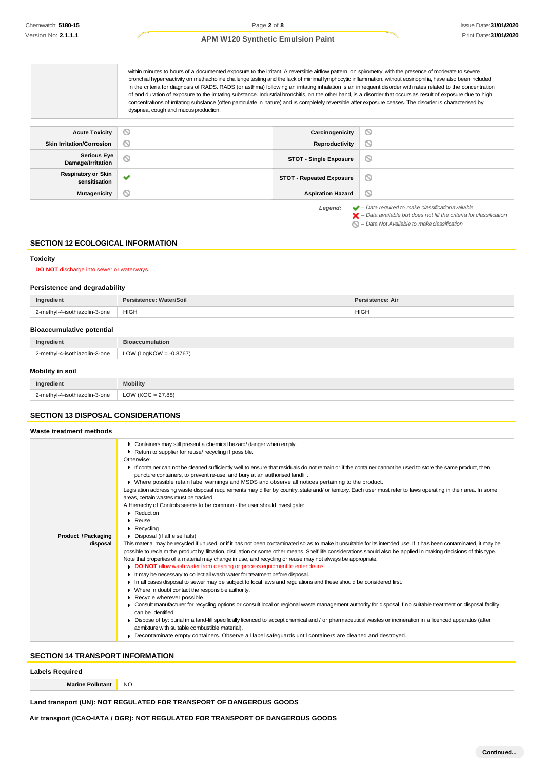within minutes to hours of a documented exposure to the irritant. A reversible airflow pattern, on spirometry, with the presence of moderate to severe bronchial hyperreactivity on methacholine challenge testing and the lack of minimal lymphocytic inflammation, without eosinophilia, have also been included in the criteria for diagnosis of RADS. RADS (or asthma) following an irritating inhalation is an infrequent disorder with rates related to the concentration of and duration of exposure to the irritating substance. Industrial bronchitis, on the other hand, is a disorder that occurs as result of exposure due to high concentrations of irritating substance (often particulate in nature) and is completely reversible after exposure ceases. The disorder is characterised by dyspnea, cough and mucusproduction.

| <b>Acute Toxicity</b>                       | $\circ$      | Carcinogenicity                 | $\circledcirc$                                                                                                                                                     |
|---------------------------------------------|--------------|---------------------------------|--------------------------------------------------------------------------------------------------------------------------------------------------------------------|
| <b>Skin Irritation/Corrosion</b>            | $\circ$      | Reproductivity                  | $\odot$                                                                                                                                                            |
| <b>Serious Eye</b><br>Damage/Irritation     | $\circ$      | <b>STOT - Single Exposure</b>   | $\circ$                                                                                                                                                            |
| <b>Respiratory or Skin</b><br>sensitisation | $\checkmark$ | <b>STOT - Repeated Exposure</b> | $\circ$                                                                                                                                                            |
| <b>Mutagenicity</b>                         | ∾            | <b>Aspiration Hazard</b>        | $\circ$                                                                                                                                                            |
|                                             |              | Legend:                         | $\blacktriangleright$ - Data required to make classification available<br>$\blacktriangleright$ - Data available but does not fill the criteria for classification |

*– Data Not Available to makeclassification*

#### **SECTION 12 ECOLOGICAL INFORMATION**

#### **Toxicity**

**DO NOT** discharge into sewer or waterways.

#### **Persistence and degradability**

| Ingredient                       | Persistence: Water/Soil   | Persistence: Air |  |
|----------------------------------|---------------------------|------------------|--|
| 2-methyl-4-isothiazolin-3-one    | <b>HIGH</b>               | <b>HIGH</b>      |  |
| <b>Bioaccumulative potential</b> |                           |                  |  |
| Ingredient                       | <b>Bioaccumulation</b>    |                  |  |
| 2-methyl-4-isothiazolin-3-one    | LOW (LogKOW = $-0.8767$ ) |                  |  |
| <b>Mobility in soil</b>          |                           |                  |  |
| Ingredient                       | <b>Mobility</b>           |                  |  |

| 2. mothyl_n_<br>-3-one<br>*-isothiazolin-.<br>------- | 7.88<br>∩W<br>__ |
|-------------------------------------------------------|------------------|
|                                                       |                  |

# **SECTION 13 DISPOSAL CONSIDERATIONS**

| Waste treatment methods    |                                                                                                                                                                      |  |
|----------------------------|----------------------------------------------------------------------------------------------------------------------------------------------------------------------|--|
|                            | Containers may still present a chemical hazard/danger when empty.                                                                                                    |  |
|                            | Return to supplier for reuse/ recycling if possible.                                                                                                                 |  |
|                            | Otherwise:                                                                                                                                                           |  |
|                            | If container can not be cleaned sufficiently well to ensure that residuals do not remain or if the container cannot be used to store the same product, then          |  |
|                            | puncture containers, to prevent re-use, and bury at an authorised landfill.                                                                                          |  |
|                            | ▶ Where possible retain label warnings and MSDS and observe all notices pertaining to the product.                                                                   |  |
|                            | Legislation addressing waste disposal requirements may differ by country, state and/ or territory. Each user must refer to laws operating in their area. In some     |  |
|                            | areas, certain wastes must be tracked.                                                                                                                               |  |
|                            | A Hierarchy of Controls seems to be common - the user should investigate:                                                                                            |  |
|                            | Reduction                                                                                                                                                            |  |
|                            | Reuse                                                                                                                                                                |  |
|                            | $\blacktriangleright$ Recycling                                                                                                                                      |  |
| <b>Product / Packaging</b> | • Disposal (if all else fails)                                                                                                                                       |  |
| disposal                   | This material may be recycled if unused, or if it has not been contaminated so as to make it unsuitable for its intended use. If it has been contaminated, it may be |  |
|                            | possible to reclaim the product by filtration, distillation or some other means. Shelf life considerations should also be applied in making decisions of this type.  |  |
|                            | Note that properties of a material may change in use, and recycling or reuse may not always be appropriate.                                                          |  |
|                            | DO NOT allow wash water from cleaning or process equipment to enter drains.                                                                                          |  |
|                            | It may be necessary to collect all wash water for treatment before disposal.                                                                                         |  |
|                            | In all cases disposal to sewer may be subject to local laws and regulations and these should be considered first.                                                    |  |
|                            | • Where in doubt contact the responsible authority.                                                                                                                  |  |
|                            | Recycle wherever possible.                                                                                                                                           |  |
|                            | • Consult manufacturer for recycling options or consult local or regional waste management authority for disposal if no suitable treatment or disposal facility      |  |
|                            | can be identified.                                                                                                                                                   |  |
|                            | ► Dispose of by: burial in a land-fill specifically licenced to accept chemical and / or pharmaceutical wastes or incineration in a licenced apparatus (after        |  |
|                            | admixture with suitable combustible material).                                                                                                                       |  |
|                            | • Decontaminate empty containers. Observe all label safequards until containers are cleaned and destroyed.                                                           |  |
|                            |                                                                                                                                                                      |  |

# **SECTION 14 TRANSPORT INFORMATION**

**Marine Pollutant** NO

# **Land transport (UN): NOT REGULATED FOR TRANSPORT OF DANGEROUS GOODS**

**Air transport (ICAO-IATA / DGR): NOT REGULATED FOR TRANSPORT OF DANGEROUS GOODS**